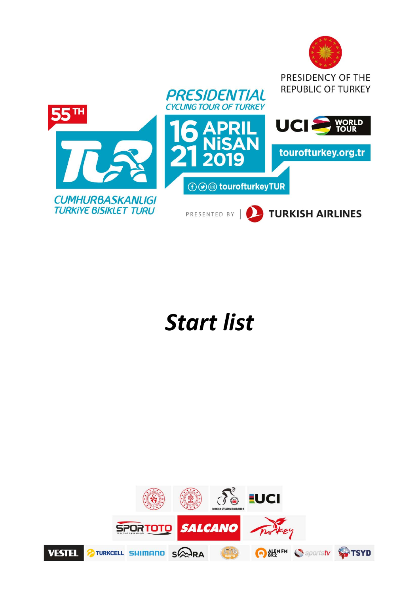

## *Start list*